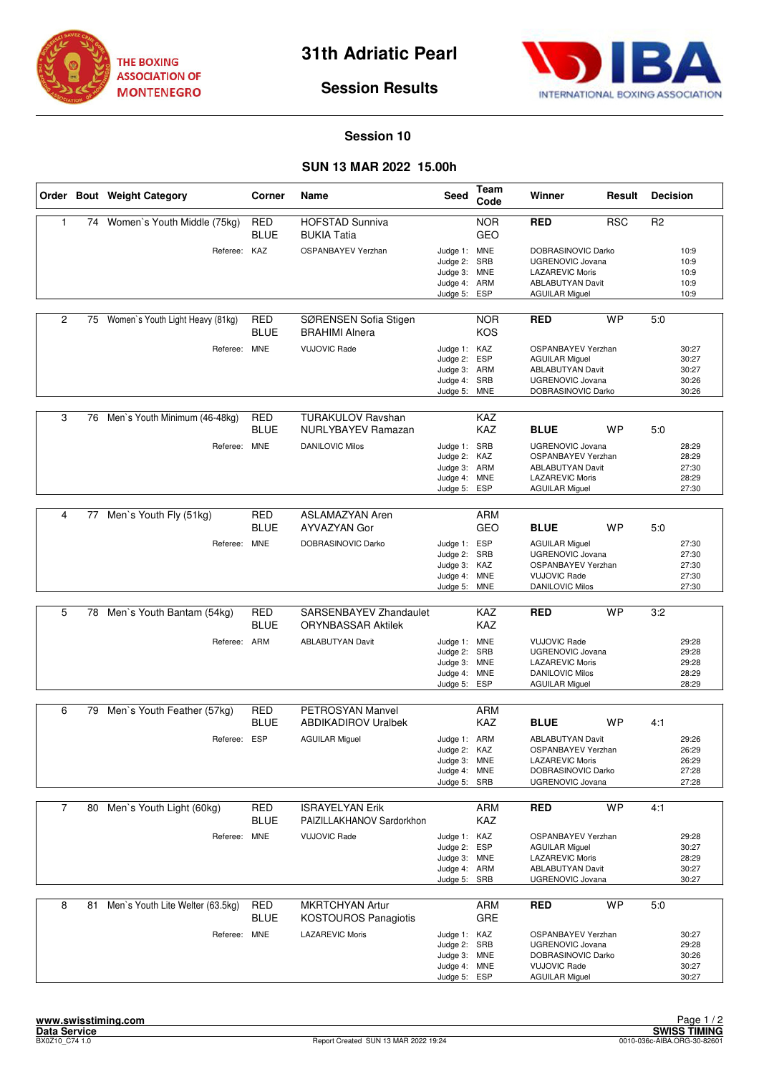



# **Session Results**

#### **Session 10**

## **SUN 13 MAR 2022 15.00h**

|                |    | Order Bout Weight Category       | Corner                    | Name                                                  | <b>Seed</b>                                                                  | Team<br>Code                    | Winner                                                                                                                         | Result     | <b>Decision</b> |                                           |
|----------------|----|----------------------------------|---------------------------|-------------------------------------------------------|------------------------------------------------------------------------------|---------------------------------|--------------------------------------------------------------------------------------------------------------------------------|------------|-----------------|-------------------------------------------|
| 1              |    | 74 Women's Youth Middle (75kg)   | <b>RED</b><br><b>BLUE</b> | <b>HOFSTAD Sunniva</b><br><b>BUKIA Tatia</b>          |                                                                              | <b>NOR</b><br><b>GEO</b>        | <b>RED</b>                                                                                                                     | <b>RSC</b> | R <sub>2</sub>  |                                           |
|                |    | Referee: KAZ                     |                           | <b>OSPANBAYEV Yerzhan</b>                             | Judge 1: MNE<br>Judge 2:<br>Judge 3: MNE<br>Judge 4:<br>Judge 5:             | SRB<br>ARM<br>ESP               | DOBRASINOVIC Darko<br>UGRENOVIC Jovana<br><b>LAZAREVIC Moris</b><br><b>ABLABUTYAN Davit</b><br><b>AGUILAR Miguel</b>           |            |                 | 10:9<br>10:9<br>10:9<br>10:9<br>10:9      |
| 2              | 75 | Women's Youth Light Heavy (81kg) | <b>RED</b><br><b>BLUE</b> | SØRENSEN Sofia Stigen<br><b>BRAHIMI Alnera</b>        |                                                                              | <b>NOR</b><br><b>KOS</b>        | <b>RED</b>                                                                                                                     | <b>WP</b>  | 5:0             |                                           |
|                |    | Referee: MNE                     |                           | <b>VUJOVIC Rade</b>                                   | Judge 1: KAZ<br>Judge 2:<br>Judge 3: ARM<br>Judge 4:<br>Judge 5: MNE         | <b>ESP</b><br>SRB               | <b>OSPANBAYEV Yerzhan</b><br><b>AGUILAR Miguel</b><br><b>ABLABUTYAN Davit</b><br><b>UGRENOVIC Jovana</b><br>DOBRASINOVIC Darko |            |                 | 30:27<br>30:27<br>30:27<br>30:26<br>30:26 |
| 3              | 76 | Men's Youth Minimum (46-48kg)    | <b>RED</b><br><b>BLUE</b> | <b>TURAKULOV Ravshan</b><br>NURLYBAYEV Ramazan        |                                                                              | KAZ<br>KAZ                      | <b>BLUE</b>                                                                                                                    | WP         | 5:0             |                                           |
|                |    | Referee: MNE                     |                           | <b>DANILOVIC Milos</b>                                | Judge 1: SRB<br>Judge 2: KAZ<br>Judge 3: ARM<br>Judge 4: MNE<br>Judge 5:     | ESP                             | UGRENOVIC Jovana<br><b>OSPANBAYEV Yerzhan</b><br><b>ABLABUTYAN Davit</b><br><b>LAZAREVIC Moris</b><br><b>AGUILAR Miguel</b>    |            |                 | 28:29<br>28:29<br>27:30<br>28:29<br>27:30 |
|                |    |                                  |                           |                                                       |                                                                              |                                 |                                                                                                                                |            |                 |                                           |
| 4              |    | 77 Men's Youth Fly (51kg)        | <b>RED</b><br><b>BLUE</b> | <b>ASLAMAZYAN Aren</b><br>AYVAZYAN Gor                |                                                                              | <b>ARM</b><br>GEO               | <b>BLUE</b>                                                                                                                    | <b>WP</b>  | 5:0             |                                           |
|                |    | Referee: MNE                     |                           | DOBRASINOVIC Darko                                    | Judge 1: ESP<br>Judge 2:<br>Judge 3: KAZ<br>Judge 4:<br>Judge 5:             | SRB<br><b>MNE</b><br><b>MNE</b> | <b>AGUILAR Miguel</b><br><b>UGRENOVIC Jovana</b><br>OSPANBAYEV Yerzhan<br><b>VUJOVIC Rade</b><br><b>DANILOVIC Milos</b>        |            |                 | 27:30<br>27:30<br>27:30<br>27:30<br>27:30 |
|                |    |                                  |                           |                                                       |                                                                              |                                 |                                                                                                                                |            |                 |                                           |
| 5              | 78 | Men's Youth Bantam (54kg)        | <b>RED</b><br><b>BLUE</b> | SARSENBAYEV Zhandaulet<br><b>ORYNBASSAR Aktilek</b>   |                                                                              | KAZ<br><b>KAZ</b>               | RED                                                                                                                            | <b>WP</b>  | 3:2             |                                           |
|                |    | Referee: ARM                     |                           | <b>ABLABUTYAN Davit</b>                               | Judge 1: MNE<br>Judge 2:<br>Judge 3: MNE<br>Judge 4:<br>Judge 5:             | SRB<br><b>MNE</b><br>ESP        | <b>VUJOVIC Rade</b><br><b>UGRENOVIC Jovana</b><br><b>LAZAREVIC Moris</b><br><b>DANILOVIC Milos</b><br><b>AGUILAR Miguel</b>    |            |                 | 29:28<br>29:28<br>29:28<br>28:29<br>28:29 |
| 6              | 79 | Men's Youth Feather (57kg)       | <b>RED</b>                | <b>PETROSYAN Manvel</b>                               |                                                                              | <b>ARM</b>                      |                                                                                                                                |            |                 |                                           |
|                |    |                                  | <b>BLUE</b>               | <b>ABDIKADIROV Uralbek</b>                            |                                                                              | <b>KAZ</b>                      | <b>BLUE</b>                                                                                                                    | <b>WP</b>  | 4:1             |                                           |
|                |    | Referee: ESP                     |                           | <b>AGUILAR Miguel</b>                                 | Judge 1: ARM<br>Judge 2: KAZ<br>Judge 3: MNE<br>Judge 4: MNE<br>Judge 5: SRB |                                 | <b>ABLABUTYAN Davit</b><br>OSPANBAYEV Yerzhan<br><b>LAZAREVIC Moris</b><br>DOBRASINOVIC Darko<br>UGRENOVIC Jovana              |            |                 | 29:26<br>26:29<br>26:29<br>27:28<br>27:28 |
| $\overline{7}$ | 80 | Men's Youth Light (60kg)         | <b>RED</b><br>BLUE        | <b>ISRAYELYAN Erik</b><br>PAIZILLAKHANOV Sardorkhon   |                                                                              | <b>ARM</b><br>KAZ               | <b>RED</b>                                                                                                                     | <b>WP</b>  | 4:1             |                                           |
|                |    | Referee: MNE                     |                           | <b>VUJOVIC Rade</b>                                   | Judge 1: KAZ<br>Judge 2:<br>Judge 3: MNE<br>Judge 4: ARM<br>Judge 5:         | ESP<br>SRB                      | OSPANBAYEV Yerzhan<br><b>AGUILAR Miguel</b><br><b>LAZAREVIC Moris</b><br><b>ABLABUTYAN Davit</b><br><b>UGRENOVIC Jovana</b>    |            |                 | 29:28<br>30:27<br>28:29<br>30:27<br>30:27 |
| 8              | 81 | Men's Youth Lite Welter (63.5kg) | <b>RED</b><br><b>BLUE</b> | <b>MKRTCHYAN Artur</b><br><b>KOSTOUROS Panagiotis</b> |                                                                              | <b>ARM</b><br>GRE               | RED                                                                                                                            | <b>WP</b>  | 5:0             |                                           |
|                |    | Referee: MNE                     |                           | <b>LAZAREVIC Moris</b>                                | Judge 1: KAZ<br>Judge 2: SRB<br>Judge 3: MNE<br>Judge 4: MNE<br>Judge 5: ESP |                                 | OSPANBAYEV Yerzhan<br><b>UGRENOVIC Jovana</b><br>DOBRASINOVIC Darko<br><b>VUJOVIC Rade</b><br><b>AGUILAR Miguel</b>            |            |                 | 30:27<br>29:28<br>30:26<br>30:27<br>30:27 |